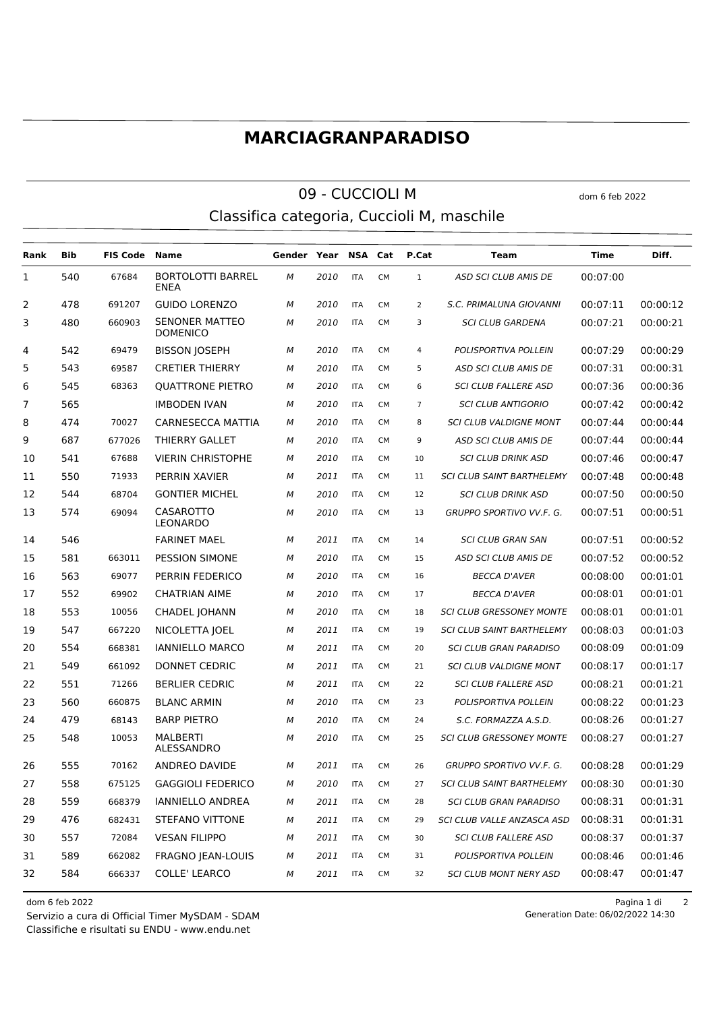## **MARCIAGRANPARADISO**

## 09 - CUCCIOLI M dom 6 feb 2022 Classifica categoria, Cuccioli M, maschile

**Rank Bib FIS Code Name Gender Year NSA Cat P.Cat Team Time Diff.** BORTOLOTTI BARREL 67684 *M 2010* ITA CM 1 *ASD SCI CLUB AMIS DE* 00:07:00 ENEA 478 691207 GUIDO LORENZO *M 2010* ITA CM 2 *S.C. PRIMALUNA GIOVANNI* 00:07:11 00:00:12 SENONER MATTEO 660903 *M 2010* ITA CM 3 *SCI CLUB GARDENA* 00:07:21 00:00:21 DOMENICO 542 69479 BISSON JOSEPH *M 2010* ITA CM 4 *POLISPORTIVA POLLEIN* 00:07:29 00:00:29 543 69587 CRETIER THIERRY *M 2010* ITA CM 5 *ASD SCI CLUB AMIS DE* 00:07:31 00:00:31 545 68363 QUATTRONE PIETRO *M 2010* ITA CM 6 *SCI CLUB FALLERE ASD* 00:07:36 00:00:36 565 IMBODEN IVAN *M 2010* ITA CM 7 *SCI CLUB ANTIGORIO* 00:07:42 00:00:42 474 70027 CARNESECCA MATTIA *M 2010* ITA CM 8 *SCI CLUB VALDIGNE MONT* 00:07:44 00:00:44 687 677026 THIERRY GALLET *M 2010* ITA CM 9 *ASD SCI CLUB AMIS DE* 00:07:44 00:00:44 541 67688 VIERIN CHRISTOPHE *M 2010* ITA CM 10 *SCI CLUB DRINK ASD* 00:07:46 00:00:47 550 71933 PERRIN XAVIER *M 2011* ITA CM 11 *SCI CLUB SAINT BARTHELEMY* 00:07:48 00:00:48 544 68704 GONTIER MICHEL *M 2010* ITA CM 12 *SCI CLUB DRINK ASD* 00:07:50 00:00:50 CASAROTTO LEONARDO 69094 *M 2010* ITA CM 13 *GRUPPO SPORTIVO VV.F. G.* 00:07:51 00:00:51 546 FARINET MAEL *M 2011* ITA CM 14 *SCI CLUB GRAN SAN* 00:07:51 00:00:52 581 663011 PESSION SIMONE *M 2010* ITA CM 15 *ASD SCI CLUB AMIS DE* 00:07:52 00:00:52 563 69077 PERRIN FEDERICO *M 2010* ITA CM 16 *BECCA D'AVER* 00:08:00 00:01:01 552 69902 CHATRIAN AIME *M 2010* ITA CM 17 *BECCA D'AVER* 00:08:01 00:01:01 553 10056 CHADEL JOHANN *M 2010* ITA CM 18 *SCI CLUB GRESSONEY MONTE* 00:08:01 00:01:01 547 667220 NICOLETTA JOEL *M 2011* ITA CM 19 *SCI CLUB SAINT BARTHELEMY* 00:08:03 00:01:03 554 668381 IANNIELLO MARCO *M 2011* ITA CM 20 *SCI CLUB GRAN PARADISO* 00:08:09 00:01:09 549 661092 DONNET CEDRIC *M 2011* ITA CM 21 *SCI CLUB VALDIGNE MONT* 00:08:17 00:01:17 551 71266 BERLIER CEDRIC *M 2011* ITA CM 22 *SCI CLUB FALLERE ASD* 00:08:21 00:01:21 560 660875 BLANC ARMIN *M 2010* ITA CM 23 *POLISPORTIVA POLLEIN* 00:08:22 00:01:23 479 68143 BARP PIETRO *M 2010* ITA CM 24 *S.C. FORMAZZA A.S.D.* 00:08:26 00:01:27 MALBERTI ALESSANDRO 10053 *M 2010* ITA CM 25 *SCI CLUB GRESSONEY MONTE* 00:08:27 00:01:27 555 70162 ANDREO DAVIDE *M 2011* ITA CM 26 *GRUPPO SPORTIVO VV.F. G.* 00:08:28 00:01:29 558 675125 GAGGIOLI FEDERICO *M 2010* ITA CM 27 *SCI CLUB SAINT BARTHELEMY* 00:08:30 00:01:30 559 668379 IANNIELLO ANDREA *M 2011* ITA CM 28 *SCI CLUB GRAN PARADISO* 00:08:31 00:01:31 476 682431 STEFANO VITTONE *M 2011* ITA CM 29 *SCI CLUB VALLE ANZASCA ASD* 00:08:31 00:01:31 557 72084 VESAN FILIPPO *M 2011* ITA CM 30 *SCI CLUB FALLERE ASD* 00:08:37 00:01:37 589 662082 FRAGNO JEAN-LOUIS *M 2011* ITA CM 31 *POLISPORTIVA POLLEIN* 00:08:46 00:01:46 584 666337 COLLE' LEARCO *M 2011* ITA CM 32 *SCI CLUB MONT NERY ASD* 00:08:47 00:01:47

Classifiche e risultati su ENDU - www.endu.net Servizio a cura di Official Timer MySDAM - SDAM

dom 6 feb 2022 Pagina 1 di 2

Generation Date: 06/02/2022 14:30